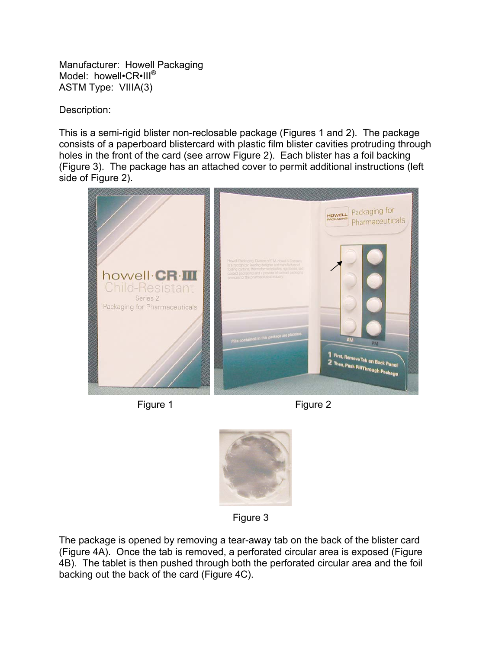Manufacturer: Howell Packaging Model: howell•CR•III<sup>®</sup> ASTM Type: VIIIA(3)

Description:

This is a semi-rigid blister non-reclosable package (Figures 1 and 2). The package consists of a paperboard blistercard with plastic film blister cavities protruding through holes in the front of the card (see arrow Figure 2). Each blister has a foil backing (Figure 3). The package has an attached cover to permit additional instructions (left side of Figure 2).



Figure 1 Figure 2



Figure 3

The package is opened by removing a tear-away tab on the back of the blister card (Figure 4A). Once the tab is removed, a perforated circular area is exposed (Figure 4B). The tablet is then pushed through both the perforated circular area and the foil backing out the back of the card (Figure 4C).